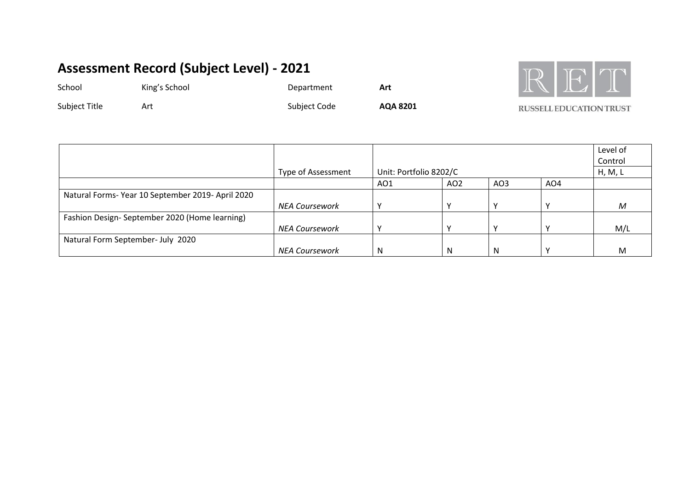School King's School Department **Art** 

RET

Subject Title **Art** Art **Art ACA 8201** 

|                                                  |                       |                        |                 |                 |     | Level of |
|--------------------------------------------------|-----------------------|------------------------|-----------------|-----------------|-----|----------|
|                                                  |                       |                        |                 |                 |     | Control  |
|                                                  | Type of Assessment    | Unit: Portfolio 8202/C |                 | H, M, L         |     |          |
|                                                  |                       | AO1                    | AO <sub>2</sub> | AO <sub>3</sub> | AO4 |          |
| Natural Forms-Year 10 September 2019- April 2020 |                       |                        |                 |                 |     |          |
|                                                  | NEA Coursework        |                        |                 |                 |     | M        |
| Fashion Design-September 2020 (Home learning)    |                       |                        |                 |                 |     |          |
|                                                  | <b>NEA Coursework</b> | v                      |                 |                 |     | M/L      |
| Natural Form September- July 2020                |                       |                        |                 |                 |     |          |
|                                                  | NEA Coursework        | N                      |                 | N               |     | M        |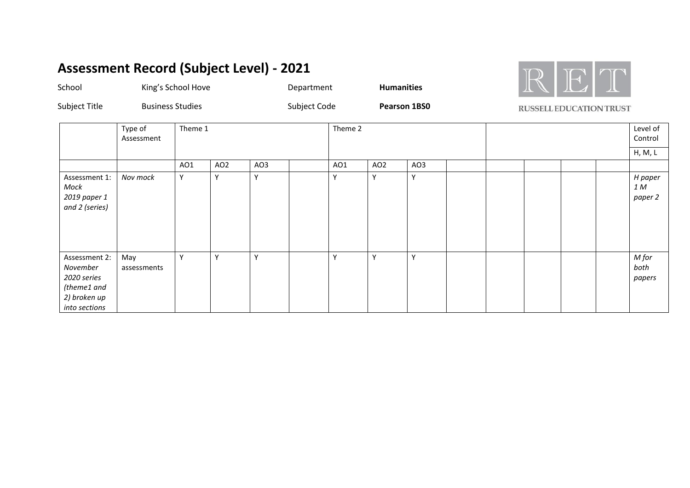

| School                                                                                   |                         | King's School Hove |                 |     | Department   |         | <b>Humanities</b>   |     |  | $\  \mathcal{N} \ $ $\  \mathcal{N} \ $ |  |                           |
|------------------------------------------------------------------------------------------|-------------------------|--------------------|-----------------|-----|--------------|---------|---------------------|-----|--|-----------------------------------------|--|---------------------------|
| Subject Title                                                                            | <b>Business Studies</b> |                    |                 |     | Subject Code |         | <b>Pearson 1BS0</b> |     |  | <b>RUSSELL EDUCATION TRUST</b>          |  |                           |
|                                                                                          | Type of<br>Assessment   | Theme 1            |                 |     |              | Theme 2 |                     |     |  |                                         |  | Level of<br>Control       |
|                                                                                          |                         |                    |                 |     |              |         |                     |     |  |                                         |  | H, M, L                   |
|                                                                                          |                         | AO1                | AO <sub>2</sub> | AO3 |              | AO1     | AO <sub>2</sub>     | AO3 |  |                                         |  |                           |
| Assessment 1:<br>Mock<br>2019 paper 1<br>and 2 (series)                                  | Nov mock                | Υ                  | $\checkmark$    | Y   |              | Υ       | Y                   | Y   |  |                                         |  | H paper<br>1 M<br>paper 2 |
| Assessment 2:<br>November<br>2020 series<br>(theme1 and<br>2) broken up<br>into sections | May<br>assessments      | Υ                  | Y               | Y   |              | Y       | $\mathsf{v}$        | Y   |  |                                         |  | M for<br>both<br>papers   |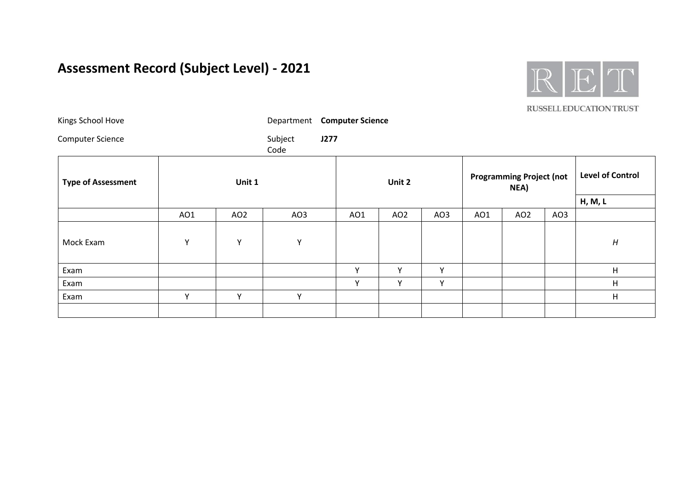

| Kings School Hove         |     |                 | Department Computer Science |      |                 |     |     |                                         |     |                         |
|---------------------------|-----|-----------------|-----------------------------|------|-----------------|-----|-----|-----------------------------------------|-----|-------------------------|
| <b>Computer Science</b>   |     |                 | Subject<br>Code             | J277 |                 |     |     |                                         |     |                         |
| <b>Type of Assessment</b> |     | Unit 1          |                             |      | Unit 2          |     |     | <b>Programming Project (not</b><br>NEA) |     | <b>Level of Control</b> |
|                           |     |                 |                             |      |                 |     |     |                                         |     | <b>H, M, L</b>          |
|                           | AO1 | AO <sub>2</sub> | AO3                         | AO1  | AO <sub>2</sub> | AO3 | AO1 | AO <sub>2</sub>                         | AO3 |                         |
| Mock Exam                 | Υ   | Y               | Y                           |      |                 |     |     |                                         |     | $\boldsymbol{H}$        |
| Exam                      |     |                 |                             | Y    | Υ               | Y   |     |                                         |     | H                       |
| Exam                      |     |                 |                             | Y    | Υ               | Υ   |     |                                         |     | H                       |
| Exam                      | Y   | Υ               | Υ                           |      |                 |     |     |                                         |     | H                       |
|                           |     |                 |                             |      |                 |     |     |                                         |     |                         |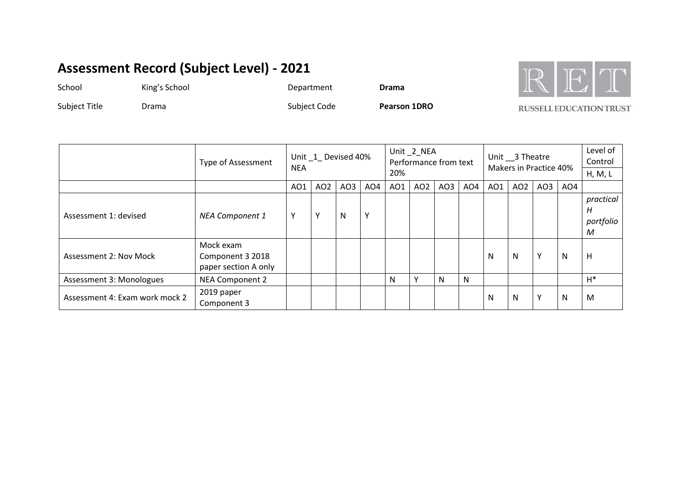School **King's School Department Drama** 

RET

Subject Title **Drama** Drama **Subject Code Pearson 1DRO** 

|                                | <b>Type of Assessment</b>                             | <b>NEA</b> | Unit_1_Devised 40% |     |                 | Unit_2_NEA<br>Performance from text<br>20% |                 |     |                 | Unit __ 3 Theatre<br>Makers in Practice 40% | Level of<br>Control<br>H, M, L |              |                 |                                  |
|--------------------------------|-------------------------------------------------------|------------|--------------------|-----|-----------------|--------------------------------------------|-----------------|-----|-----------------|---------------------------------------------|--------------------------------|--------------|-----------------|----------------------------------|
|                                |                                                       | A01        | AO <sub>2</sub>    | AO3 | AO <sub>4</sub> | AO1                                        | AO <sub>2</sub> | AO3 | AO <sub>4</sub> | AO1                                         | AO <sub>2</sub>                | AO3          | AO <sub>4</sub> |                                  |
| Assessment 1: devised          | <b>NEA Component 1</b>                                | γ          | Y                  | N   | Υ               |                                            |                 |     |                 |                                             |                                |              |                 | practical<br>H<br>portfolio<br>M |
| Assessment 2: Nov Mock         | Mock exam<br>Component 3 2018<br>paper section A only |            |                    |     |                 |                                            |                 |     |                 | N                                           | N                              | $\checkmark$ | N               | H                                |
| Assessment 3: Monologues       | NEA Component 2                                       |            |                    |     |                 | N                                          | Υ               | N   | N               |                                             |                                |              |                 | $H^*$                            |
| Assessment 4: Exam work mock 2 | 2019 paper<br>Component 3                             |            |                    |     |                 |                                            |                 |     |                 | N                                           | N                              | $\checkmark$ | N               | M                                |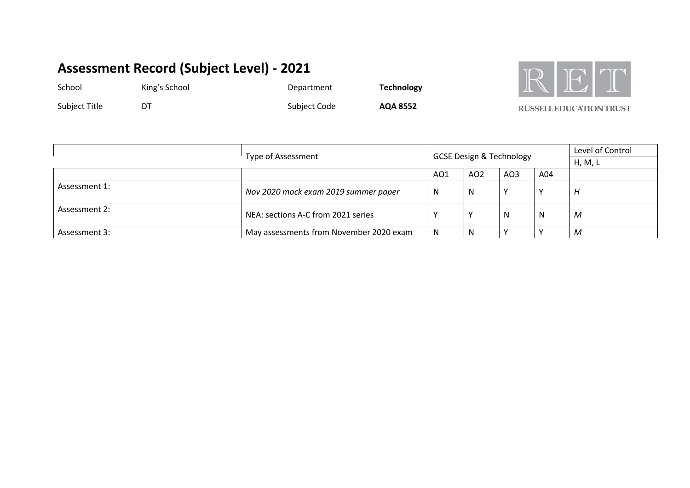School **King's School Community Community Community Community Community Community Community Community Community Community Community Community Community Community Community Community Community Community Community Commun** 



Subject Title **DT** DT Subject Code **AQA 8552** 

|               |                                         |     |                 | Level of Control                    |     |         |
|---------------|-----------------------------------------|-----|-----------------|-------------------------------------|-----|---------|
|               | Type of Assessment                      |     |                 | <b>GCSE Design &amp; Technology</b> |     | H, M, L |
|               |                                         | AO1 | AO <sub>2</sub> | AO <sub>3</sub>                     | A04 |         |
| Assessment 1: | Nov 2020 mock exam 2019 summer paper    | N   | N               |                                     |     |         |
| Assessment 2: | NEA: sections A-C from 2021 series      |     |                 | N                                   | N   | М       |
| Assessment 3: | May assessments from November 2020 exam | N   |                 |                                     |     | M       |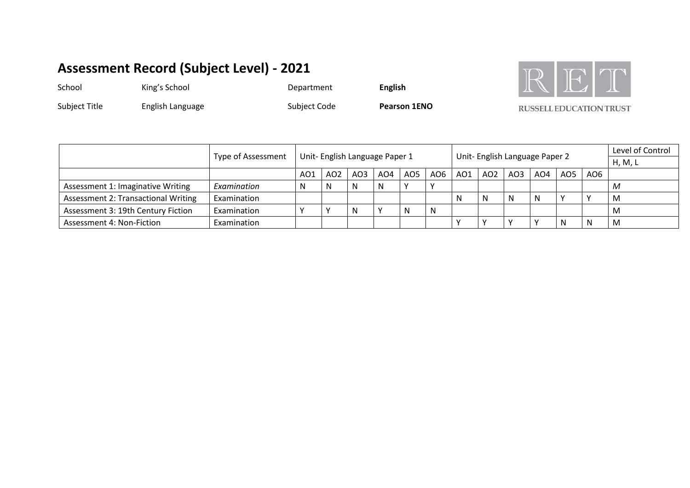School **King's School English** Department **English** 

 $RET$ 

Subject Title **English Language English Language** Subject Code **Pearson 1ENO** 

|                                     |             | Unit-English Language Paper 1<br>Type of Assessment |                 |                 |         |           |                 |     |                               |     | Level of Control |   |         |         |
|-------------------------------------|-------------|-----------------------------------------------------|-----------------|-----------------|---------|-----------|-----------------|-----|-------------------------------|-----|------------------|---|---------|---------|
|                                     |             |                                                     |                 |                 |         |           |                 |     | Unit-English Language Paper 2 |     |                  |   |         | H, M, L |
|                                     |             | AO1                                                 | AO <sub>2</sub> | AO <sub>3</sub> | AO4     | AO5       | AO <sub>6</sub> | AO1 | AO2                           | AO3 | AO4              |   | A05 A06 |         |
| Assessment 1: Imaginative Writing   | Examination | N                                                   |                 | N               | N       | $\lambda$ |                 |     |                               |     |                  |   |         | M       |
| Assessment 2: Transactional Writing | Examination |                                                     |                 |                 |         |           |                 |     | N                             | N   | N                |   |         | M       |
| Assessment 3: 19th Century Fiction  | Examination |                                                     |                 | N               | $\cdot$ | N         | N               |     |                               |     |                  |   |         | M       |
| Assessment 4: Non-Fiction           | Examination |                                                     |                 |                 |         |           |                 |     |                               |     |                  | N |         | M       |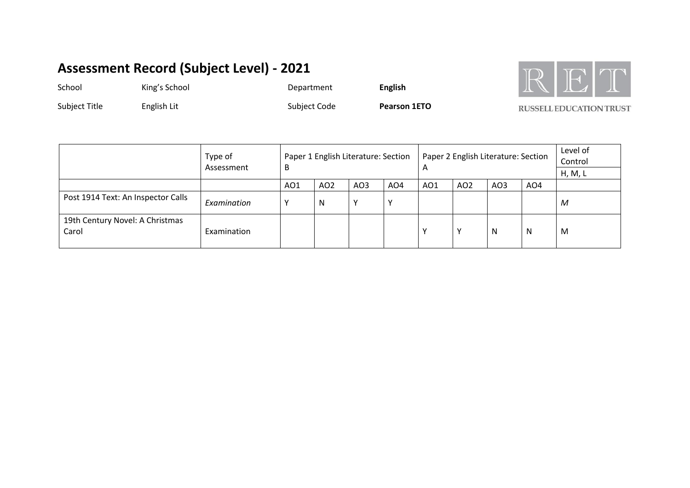School **King's School English** Department **English** 

RET

Subject Title **English Lit** English Lit Subject Code **Pearson 1ETO** 

|                                          | Type of<br>Assessment | B   |                 | Paper 1 English Literature: Section |                 | A   | Paper 2 English Literature: Section |                 | Level of<br>Control |         |
|------------------------------------------|-----------------------|-----|-----------------|-------------------------------------|-----------------|-----|-------------------------------------|-----------------|---------------------|---------|
|                                          |                       |     |                 |                                     |                 |     |                                     |                 |                     | H, M, L |
|                                          |                       | AO1 | AO <sub>2</sub> | AO3                                 | AO <sub>4</sub> | AO1 | AO <sub>2</sub>                     | AO <sub>3</sub> | AO4                 |         |
| Post 1914 Text: An Inspector Calls       | Examination           |     | N               | $\mathbf{v}$                        |                 |     |                                     |                 |                     | M       |
| 19th Century Novel: A Christmas<br>Carol | Examination           |     |                 |                                     |                 |     |                                     | N               | N                   | M       |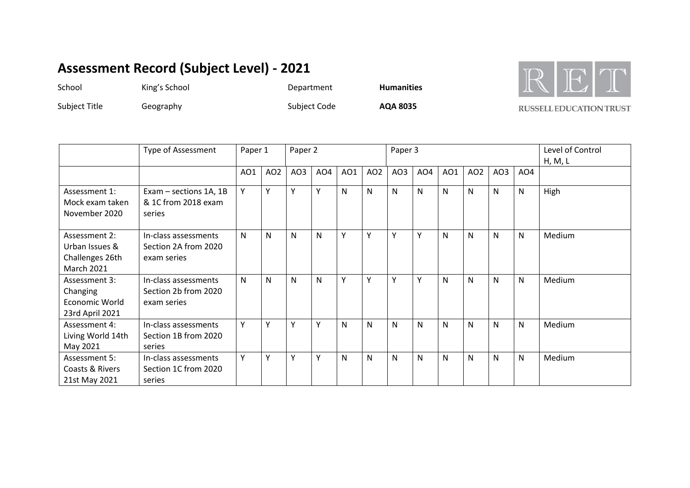School **King's School Communities Communities** 

RET

Subject Title Geography Geography Subject Code AQA 8035

|                                                                         | Type of Assessment                                          | Paper 1      |                 | Paper 2<br>Paper 3 |                 |              |              |     | Level of Control<br>H, M, L |              |                 |              |                 |        |
|-------------------------------------------------------------------------|-------------------------------------------------------------|--------------|-----------------|--------------------|-----------------|--------------|--------------|-----|-----------------------------|--------------|-----------------|--------------|-----------------|--------|
|                                                                         |                                                             | AO1          | AO <sub>2</sub> | AO3                | AO <sub>4</sub> | AO1          | AO2          | AO3 | AO <sub>4</sub>             | AO1          | AO <sub>2</sub> | AO3          | AO <sub>4</sub> |        |
| Assessment 1:<br>Mock exam taken<br>November 2020                       | Exam - sections 1A, 1B<br>& 1C from 2018 exam<br>series     | Y            | Υ               | $\checkmark$       | Y               | N            | $\mathsf{N}$ | N   | N                           | N            | N               | N            | N               | High   |
| Assessment 2:<br>Urban Issues &<br>Challenges 26th<br><b>March 2021</b> | In-class assessments<br>Section 2A from 2020<br>exam series | $\mathsf{N}$ | N               | $\mathsf{N}$       | $\mathsf{N}$    | Υ            | Y            | Y   | v                           | $\mathsf{N}$ | $\mathsf{N}$    | N            | $\mathsf{N}$    | Medium |
| Assessment 3:<br>Changing<br>Economic World<br>23rd April 2021          | In-class assessments<br>Section 2b from 2020<br>exam series | $\mathsf{N}$ | N               | N                  | $\mathsf{N}$    | Y            | Y            | Y   | Υ                           | N            | $\mathsf{N}$    | N            | N               | Medium |
| Assessment 4:<br>Living World 14th<br>May 2021                          | In-class assessments<br>Section 1B from 2020<br>series      | Y            | Υ               | v                  | Y               | $\mathsf{N}$ | N            | N   | N                           | N            | N               | N            | $\mathsf{N}$    | Medium |
| Assessment 5:<br>Coasts & Rivers<br>21st May 2021                       | In-class assessments<br>Section 1C from 2020<br>series      | Y            | Υ               | Y                  | Y               | $\mathsf{N}$ | $\mathsf{N}$ | N   | $\mathsf{N}$                | N            | $\mathsf{N}$    | $\mathsf{N}$ | $\mathsf{N}$    | Medium |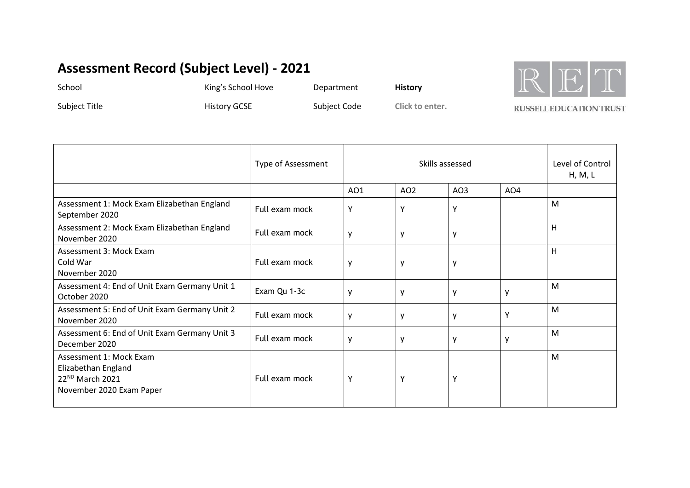School **Contract Contract Contract Contract Contract Contract Contract Contract Contract Contract Contract Contract Contract Contract Contract Contract Contract Contract Contract Contract Contract Contract Contract Contrac** 



Subject Title **Manufation History GCSE** Subject Code Click to enter.

|                                                                                                           | Type of Assessment |                 | Skills assessed |                 | Level of Control<br>H, M, L |   |
|-----------------------------------------------------------------------------------------------------------|--------------------|-----------------|-----------------|-----------------|-----------------------------|---|
|                                                                                                           |                    | AO <sub>1</sub> | AO <sub>2</sub> | AO <sub>3</sub> | AO4                         |   |
| Assessment 1: Mock Exam Elizabethan England<br>September 2020                                             | Full exam mock     | Υ               | Υ               | Υ               |                             | M |
| Assessment 2: Mock Exam Elizabethan England<br>November 2020                                              | Full exam mock     | y               | у               | ٧               |                             | H |
| Assessment 3: Mock Exam<br>Cold War<br>November 2020                                                      | Full exam mock     | у               | у               | ٧               |                             | H |
| Assessment 4: End of Unit Exam Germany Unit 1<br>October 2020                                             | Exam Qu 1-3c       | y               | y               | ٧               | у                           | M |
| Assessment 5: End of Unit Exam Germany Unit 2<br>November 2020                                            | Full exam mock     | y               | у               | V               | Υ                           | M |
| Assessment 6: End of Unit Exam Germany Unit 3<br>December 2020                                            | Full exam mock     | у               | у               | ٧               | у                           | M |
| Assessment 1: Mock Exam<br>Elizabethan England<br>22 <sup>ND</sup> March 2021<br>November 2020 Exam Paper | Full exam mock     | Υ               | Υ               | Υ               |                             | M |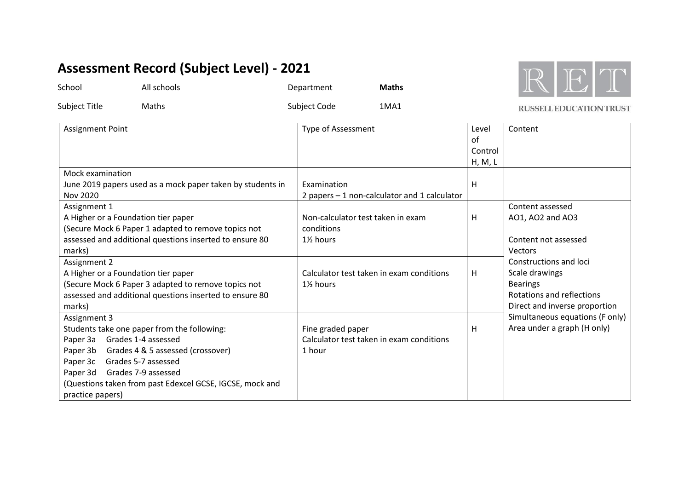| School        | All schools | Department   | <b>Maths</b> |
|---------------|-------------|--------------|--------------|
| Subject Title | Maths       | Subject Code | 1MA1         |



| <b>Assignment Point</b>                                    | Type of Assessment                            | Level   | Content                         |
|------------------------------------------------------------|-----------------------------------------------|---------|---------------------------------|
|                                                            |                                               | of      |                                 |
|                                                            |                                               | Control |                                 |
|                                                            |                                               | H, M, L |                                 |
| Mock examination                                           |                                               |         |                                 |
| June 2019 papers used as a mock paper taken by students in | Examination                                   | Н       |                                 |
| <b>Nov 2020</b>                                            | 2 papers $-1$ non-calculator and 1 calculator |         |                                 |
| Assignment 1                                               |                                               |         | Content assessed                |
| A Higher or a Foundation tier paper                        | Non-calculator test taken in exam             | н       | AO1, AO2 and AO3                |
| (Secure Mock 6 Paper 1 adapted to remove topics not        | conditions                                    |         |                                 |
| assessed and additional questions inserted to ensure 80    | 1 <sup>1</sup> / <sub>2</sub> hours           |         | Content not assessed            |
| marks)                                                     |                                               |         | Vectors                         |
| Assignment 2                                               |                                               |         | Constructions and loci          |
| A Higher or a Foundation tier paper                        | Calculator test taken in exam conditions      | Н       | Scale drawings                  |
| (Secure Mock 6 Paper 3 adapted to remove topics not        | 1 <sup>/2</sup> hours                         |         | <b>Bearings</b>                 |
| assessed and additional questions inserted to ensure 80    |                                               |         | Rotations and reflections       |
| marks)                                                     |                                               |         | Direct and inverse proportion   |
| Assignment 3                                               |                                               |         | Simultaneous equations (F only) |
| Students take one paper from the following:                | Fine graded paper                             | Н       | Area under a graph (H only)     |
| Paper 3a Grades 1-4 assessed                               | Calculator test taken in exam conditions      |         |                                 |
| Paper 3b Grades 4 & 5 assessed (crossover)                 | 1 hour                                        |         |                                 |
| Paper 3c Grades 5-7 assessed                               |                                               |         |                                 |
| Grades 7-9 assessed<br>Paper 3d                            |                                               |         |                                 |
| (Questions taken from past Edexcel GCSE, IGCSE, mock and   |                                               |         |                                 |
| practice papers)                                           |                                               |         |                                 |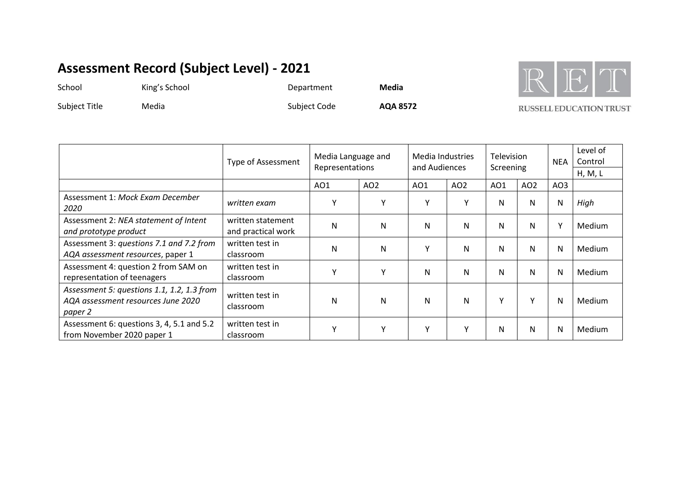School King's School **Department** Media

RET

Subject Title **Media** Media Subject Code **AQA 8572** 

|                                                                                             | <b>Type of Assessment</b>               |              | Media Language and<br>Representations |                 | Media Industries<br>and Audiences | Television<br>Screening |                 | <b>NEA</b> | Level of<br>Control<br>H, M, L |
|---------------------------------------------------------------------------------------------|-----------------------------------------|--------------|---------------------------------------|-----------------|-----------------------------------|-------------------------|-----------------|------------|--------------------------------|
|                                                                                             |                                         | AO1          | AO <sub>2</sub>                       | AO <sub>1</sub> | AO <sub>2</sub>                   | A01                     | AO <sub>2</sub> | AO3        |                                |
| Assessment 1: Mock Exam December<br>2020                                                    | written exam                            | v            |                                       | Y               | $\mathsf{v}$                      | N                       | N               | N          | High                           |
| Assessment 2: NEA statement of Intent<br>and prototype product                              | written statement<br>and practical work | N            | N                                     | N               | N                                 | N                       | N               | Υ          | Medium                         |
| Assessment 3: questions 7.1 and 7.2 from<br>AQA assessment resources, paper 1               | written test in<br>classroom            | N            | N                                     | Y               | N                                 | N                       | N               | N          | Medium                         |
| Assessment 4: question 2 from SAM on<br>representation of teenagers                         | written test in<br>classroom            | $\mathsf{v}$ | $\checkmark$                          | N               | N                                 | N                       | N               | N          | Medium                         |
| Assessment 5: questions 1.1, 1.2, 1.3 from<br>AQA assessment resources June 2020<br>paper 2 | written test in<br>classroom            | Ν            | N                                     | N               | N                                 | Y                       | Y               | N          | Medium                         |
| Assessment 6: questions 3, 4, 5.1 and 5.2<br>from November 2020 paper 1                     | written test in<br>classroom            | Y            | $\checkmark$                          | Y               | ٧                                 | N                       | N               | N          | Medium                         |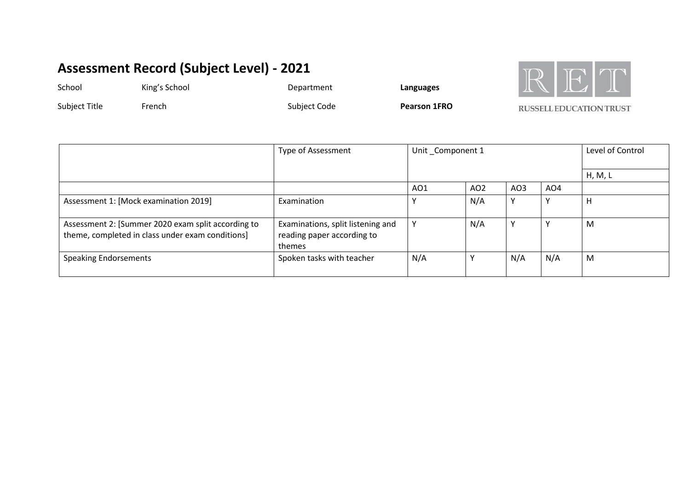School **King's School Communist Communist Communist Communist Communist Communist Communist Communist Communist Communist Communist Communist Communist Communist Communist Communist Communist Communist Communist Communis** 



Subject Title French French Subject Code Pearson 1FRO

|                                                                                                        | <b>Type of Assessment</b>                                                 | Unit Component 1 |                 |                 |                 | Level of Control |
|--------------------------------------------------------------------------------------------------------|---------------------------------------------------------------------------|------------------|-----------------|-----------------|-----------------|------------------|
|                                                                                                        |                                                                           |                  |                 |                 |                 | H, M, L          |
|                                                                                                        |                                                                           | A01              | AO <sub>2</sub> | AO <sub>3</sub> | AO <sub>4</sub> |                  |
| Assessment 1: [Mock examination 2019]                                                                  | Examination                                                               |                  | N/A             |                 |                 | н                |
| Assessment 2: [Summer 2020 exam split according to<br>theme, completed in class under exam conditions] | Examinations, split listening and<br>reading paper according to<br>themes |                  | N/A             |                 |                 | M                |
| <b>Speaking Endorsements</b>                                                                           | Spoken tasks with teacher                                                 | N/A              |                 | N/A             | N/A             | M                |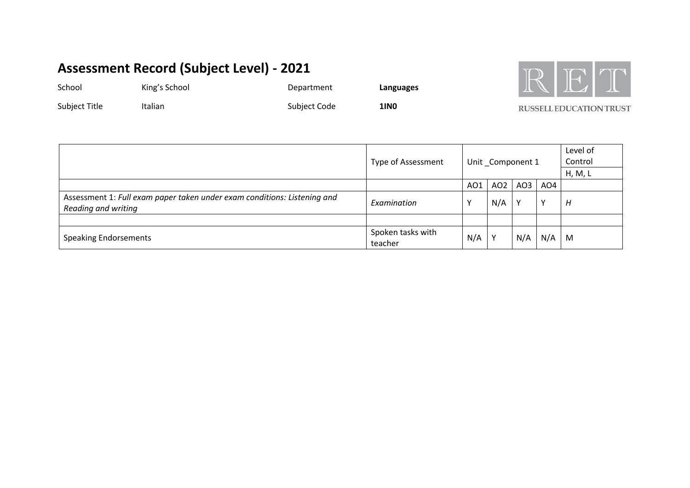School **King's School Community Community Community Community Community Community Community Community Community Community Community Community Community Community Community Community Community Community Community Commun** 



Subject Title Italian **Italian** Subject Code 1INO

|                                                                                                 | <b>Type of Assessment</b>    |     | Unit_Component 1 | Level of<br>Control<br>H, M, L |              |   |
|-------------------------------------------------------------------------------------------------|------------------------------|-----|------------------|--------------------------------|--------------|---|
|                                                                                                 |                              | AO1 | AO <sub>2</sub>  | AO3                            | AO4          |   |
| Assessment 1: Full exam paper taken under exam conditions: Listening and<br>Reading and writing | Examination                  |     | N/A              | $\checkmark$                   | $\checkmark$ | H |
|                                                                                                 |                              |     |                  |                                |              |   |
| <b>Speaking Endorsements</b>                                                                    | Spoken tasks with<br>teacher | N/A | v                | N/A                            | N/A          | M |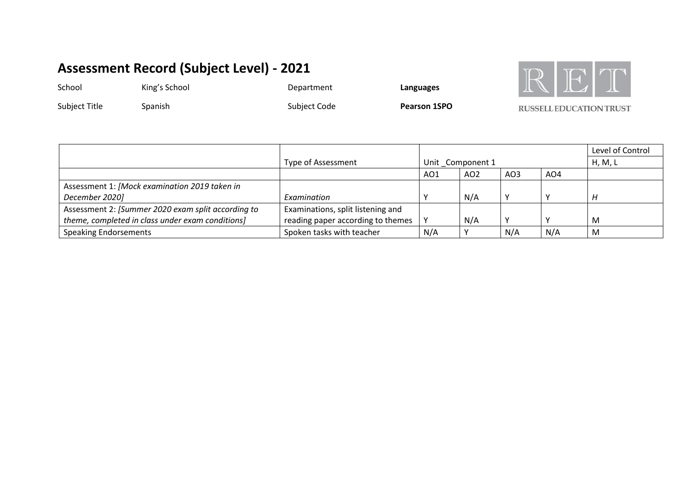School King's School **Department Languages** 



Subject Title Spanish Subject Code **Pearson 1SPO** 

|                                                    |                                   |                  |                 |                 |         | Level of Control |
|----------------------------------------------------|-----------------------------------|------------------|-----------------|-----------------|---------|------------------|
|                                                    | Type of Assessment                | Unit Component 1 |                 |                 | H, M, L |                  |
|                                                    |                                   | AO1              | AO <sub>2</sub> | AO <sub>3</sub> | AO4     |                  |
| Assessment 1: [Mock examination 2019 taken in      |                                   |                  |                 |                 |         |                  |
| December 2020]                                     | Examination                       |                  | N/A             |                 |         |                  |
| Assessment 2: [Summer 2020 exam split according to | Examinations, split listening and |                  |                 |                 |         |                  |
| theme, completed in class under exam conditions]   | reading paper according to themes |                  | N/A             |                 |         | M                |
| <b>Speaking Endorsements</b>                       | Spoken tasks with teacher         | N/A              |                 | N/A             | N/A     | M                |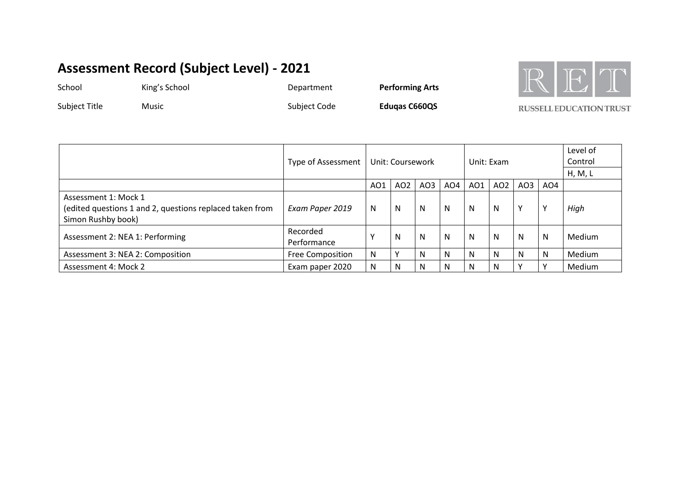School King's School **Department** Performing Arts



Subject Title Music Music **Music Subject Code** Eduqas C660QS

|                                                          |                         |                  |          |                 |                 |            |                 |              |              | Level of |
|----------------------------------------------------------|-------------------------|------------------|----------|-----------------|-----------------|------------|-----------------|--------------|--------------|----------|
|                                                          | Type of Assessment      | Unit: Coursework |          |                 |                 | Unit: Exam | Control         |              |              |          |
|                                                          |                         |                  |          |                 |                 |            |                 | H, M, L      |              |          |
|                                                          |                         | AO1              | AO2      | AO <sub>3</sub> | AO <sub>4</sub> | AO1        | AO <sub>2</sub> | AO3          | AO4          |          |
| Assessment 1: Mock 1                                     |                         |                  |          |                 |                 |            |                 |              |              |          |
| (edited questions 1 and 2, questions replaced taken from | Exam Paper 2019         | N                | <b>N</b> | N               | N               | N          | N               |              | Y            | High     |
| Simon Rushby book)                                       |                         |                  |          |                 |                 |            |                 |              |              |          |
|                                                          | Recorded                |                  |          |                 |                 |            |                 |              |              |          |
| Assessment 2: NEA 1: Performing                          | Performance             |                  | N        | N               | N               | N          | N               | $\mathsf{N}$ | <sup>N</sup> | Medium   |
| Assessment 3: NEA 2: Composition                         | <b>Free Composition</b> | N                |          | N               | N               | N          | N               | N            | N            | Medium   |
| Assessment 4: Mock 2                                     | Exam paper 2020         | N.               | N        | N               | N               | N          | N               |              |              | Medium   |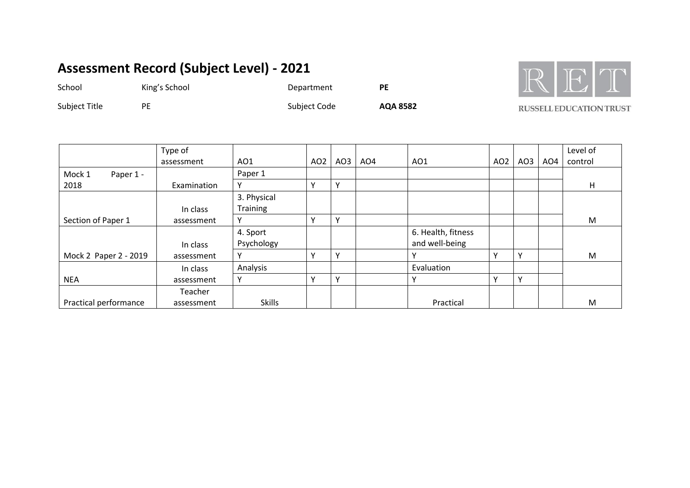School King's School **Department PE** 



Subject Title PE PE PE AQA 8582

|                       | Type of               |                                |                 |              |     |                                      |                 |              |                 | Level of |
|-----------------------|-----------------------|--------------------------------|-----------------|--------------|-----|--------------------------------------|-----------------|--------------|-----------------|----------|
|                       | assessment            | AO1                            | AO <sub>2</sub> | AO3          | AO4 | AO1                                  | AO <sub>2</sub> | AO3          | AO <sub>4</sub> | control  |
| Mock 1<br>Paper 1 -   |                       | Paper 1                        |                 |              |     |                                      |                 |              |                 |          |
| 2018                  | Examination           | $\checkmark$                   | Y               | $\checkmark$ |     |                                      |                 |              |                 | H        |
|                       | In class              | 3. Physical<br><b>Training</b> |                 |              |     |                                      |                 |              |                 |          |
| Section of Paper 1    | assessment            | v                              | Υ               | $\checkmark$ |     |                                      |                 |              |                 | M        |
|                       | In class              | 4. Sport<br>Psychology         |                 |              |     | 6. Health, fitness<br>and well-being |                 |              |                 |          |
| Mock 2 Paper 2 - 2019 | assessment            | v                              | ٧               | $\mathbf v$  |     |                                      | $\mathbf v$     | $\mathbf v$  |                 | M        |
|                       | In class              | Analysis                       |                 |              |     | Evaluation                           |                 |              |                 |          |
| <b>NEA</b>            | assessment            | v                              | Υ               | $\checkmark$ |     |                                      | $\vee$          | $\checkmark$ |                 |          |
| Practical performance | Teacher<br>assessment | <b>Skills</b>                  |                 |              |     | Practical                            |                 |              |                 | M        |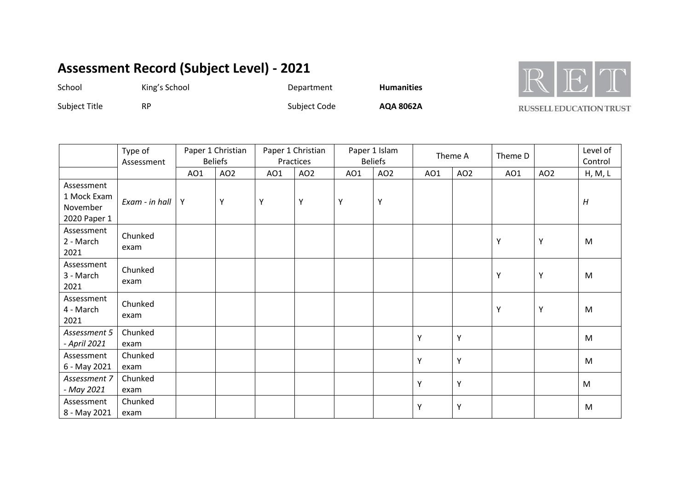School **King's School Communities Communities** 



Subject Title **RP** RP RP Subject Code **AQA 8062A** 

|                                                       | Type of<br>Assessment |     | Paper 1 Christian<br><b>Beliefs</b> |     | Paper 1 Christian<br>Practices |     | Paper 1 Islam<br><b>Beliefs</b> |     | Theme A         | Theme D |                 | Level of<br>Control |
|-------------------------------------------------------|-----------------------|-----|-------------------------------------|-----|--------------------------------|-----|---------------------------------|-----|-----------------|---------|-----------------|---------------------|
|                                                       |                       | AO1 | AO <sub>2</sub>                     | AO1 | AO <sub>2</sub>                | AO1 | AO <sub>2</sub>                 | AO1 | AO <sub>2</sub> | AO1     | AO <sub>2</sub> | H, M, L             |
| Assessment<br>1 Mock Exam<br>November<br>2020 Paper 1 | Exam - in hall        | Y   | Υ                                   | Y   | Υ                              | Υ   | Υ                               |     |                 |         |                 | H                   |
| Assessment<br>2 - March<br>2021                       | Chunked<br>exam       |     |                                     |     |                                |     |                                 |     |                 | Υ       | Y               | M                   |
| Assessment<br>3 - March<br>2021                       | Chunked<br>exam       |     |                                     |     |                                |     |                                 |     |                 | Υ       | Y               | M                   |
| Assessment<br>4 - March<br>2021                       | Chunked<br>exam       |     |                                     |     |                                |     |                                 |     |                 | Υ       | Y               | M                   |
| Assessment 5<br>- April 2021                          | Chunked<br>exam       |     |                                     |     |                                |     |                                 | Υ   | Υ               |         |                 | M                   |
| Assessment<br>6 - May 2021                            | Chunked<br>exam       |     |                                     |     |                                |     |                                 | Υ   | Υ               |         |                 | M                   |
| Assessment 7<br>- May 2021                            | Chunked<br>exam       |     |                                     |     |                                |     |                                 | Υ   | Υ               |         |                 | M                   |
| Assessment<br>8 - May 2021                            | Chunked<br>exam       |     |                                     |     |                                |     |                                 | Υ   | Υ               |         |                 | M                   |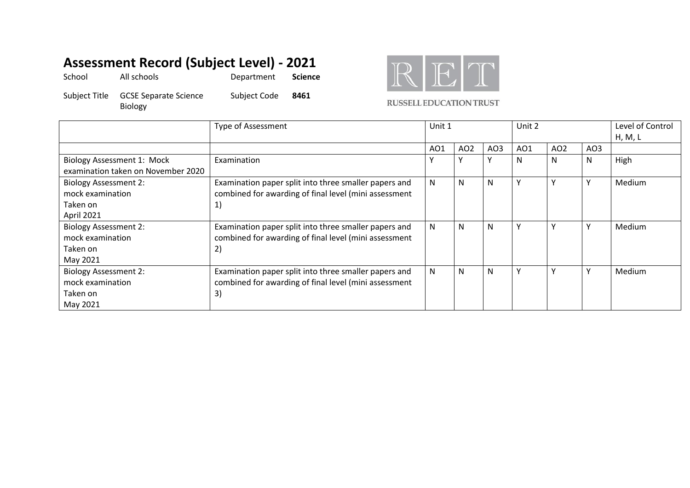| School        | All schools                                    | Department   | <b>Science</b> |
|---------------|------------------------------------------------|--------------|----------------|
| Subject Title | <b>GCSE Separate Science</b><br><b>Biology</b> | Subject Code | 8461           |



|                                    | <b>Type of Assessment</b>                             | Unit 1 |                 |     | Unit 2 |                 |     | Level of Control |
|------------------------------------|-------------------------------------------------------|--------|-----------------|-----|--------|-----------------|-----|------------------|
|                                    |                                                       |        |                 |     |        |                 |     | H, M, L          |
|                                    |                                                       | A01    | AO <sub>2</sub> | AO3 | AO1    | AO <sub>2</sub> | AO3 |                  |
| <b>Biology Assessment 1: Mock</b>  | Examination                                           |        |                 |     | N      | N               | N   | High             |
| examination taken on November 2020 |                                                       |        |                 |     |        |                 |     |                  |
| <b>Biology Assessment 2:</b>       | Examination paper split into three smaller papers and | N      | N               | N   |        |                 | v   | Medium           |
| mock examination                   | combined for awarding of final level (mini assessment |        |                 |     |        |                 |     |                  |
| Taken on                           | 1)                                                    |        |                 |     |        |                 |     |                  |
| April 2021                         |                                                       |        |                 |     |        |                 |     |                  |
| <b>Biology Assessment 2:</b>       | Examination paper split into three smaller papers and | N      | N               | N   | v      | Υ               | Y   | Medium           |
| mock examination                   | combined for awarding of final level (mini assessment |        |                 |     |        |                 |     |                  |
| Taken on                           | 2)                                                    |        |                 |     |        |                 |     |                  |
| May 2021                           |                                                       |        |                 |     |        |                 |     |                  |
| <b>Biology Assessment 2:</b>       | Examination paper split into three smaller papers and | N      | N               | N   |        |                 | ν   | Medium           |
| mock examination                   | combined for awarding of final level (mini assessment |        |                 |     |        |                 |     |                  |
| Taken on                           | 3)                                                    |        |                 |     |        |                 |     |                  |
| May 2021                           |                                                       |        |                 |     |        |                 |     |                  |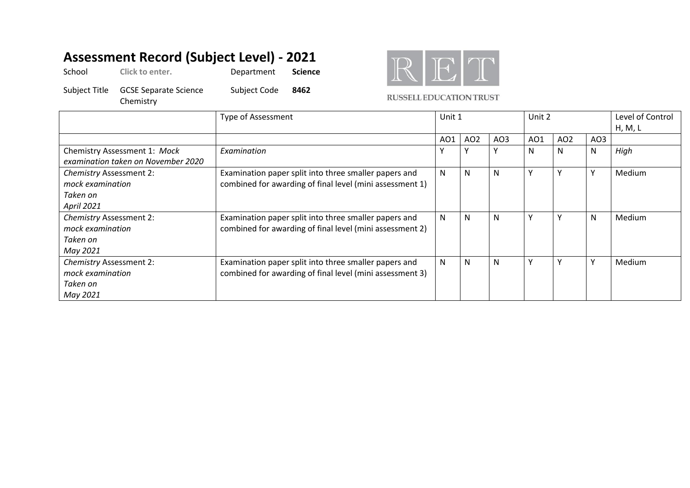| School | Click to enter.                                  | Department   | <b>Science</b> |
|--------|--------------------------------------------------|--------------|----------------|
|        | Subject Title GCSE Separate Science<br>Chemistry | Subject Code | 8462           |



|                                    | <b>Type of Assessment</b>                                | Unit 1 |                 |                 | Unit 2 |                 |                 | Level of Control |
|------------------------------------|----------------------------------------------------------|--------|-----------------|-----------------|--------|-----------------|-----------------|------------------|
|                                    |                                                          |        |                 |                 |        |                 |                 | H, M, L          |
|                                    |                                                          | AO1    | AO <sub>2</sub> | AO <sub>3</sub> | A01    | AO <sub>2</sub> | AO <sub>3</sub> |                  |
| Chemistry Assessment 1: Mock       | Examination                                              |        |                 |                 | N      | N               | N               | High             |
| examination taken on November 2020 |                                                          |        |                 |                 |        |                 |                 |                  |
| <b>Chemistry Assessment 2:</b>     | Examination paper split into three smaller papers and    | N.     | N               | N               | v      |                 | v               | Medium           |
| mock examination                   | combined for awarding of final level (mini assessment 1) |        |                 |                 |        |                 |                 |                  |
| Taken on                           |                                                          |        |                 |                 |        |                 |                 |                  |
| <b>April 2021</b>                  |                                                          |        |                 |                 |        |                 |                 |                  |
| <b>Chemistry Assessment 2:</b>     | Examination paper split into three smaller papers and    | N      | N               | N               | ν      | v               | N               | Medium           |
| mock examination                   | combined for awarding of final level (mini assessment 2) |        |                 |                 |        |                 |                 |                  |
| Taken on                           |                                                          |        |                 |                 |        |                 |                 |                  |
| May 2021                           |                                                          |        |                 |                 |        |                 |                 |                  |
| <b>Chemistry Assessment 2:</b>     | Examination paper split into three smaller papers and    | N      | N               | N               | v      | v               | Y               | Medium           |
| mock examination                   | combined for awarding of final level (mini assessment 3) |        |                 |                 |        |                 |                 |                  |
| Taken on                           |                                                          |        |                 |                 |        |                 |                 |                  |
| May 2021                           |                                                          |        |                 |                 |        |                 |                 |                  |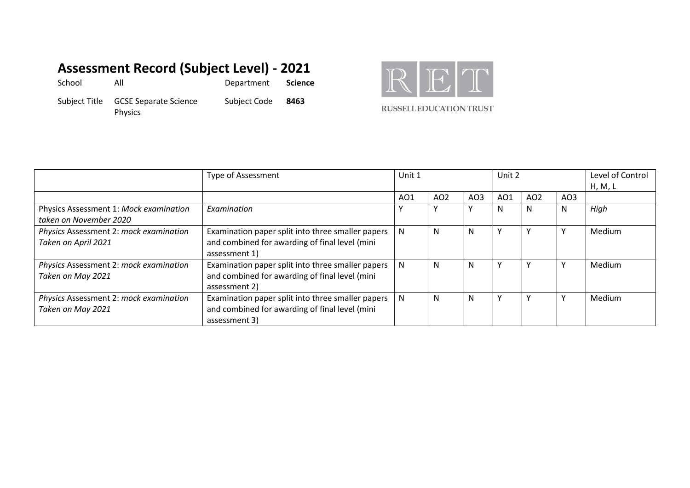School All Department **Science** Subject Title GCSE Separate Science Physics

Subject Code **8463**

 $R$  $R$  $T$ **RUSSELL EDUCATION TRUST** 

Type of Assessment and Unit 1 Unit 1 Unit 2 Level of Control H, M, L AO1 | AO2 | AO3 | AO1 | AO2 | AO3 Physics Assessment 1: *Mock examination taken on November 2020 Examination* Y Y Y N N N *High Physics* Assessment 2: *mock examination Taken on April 2021* Examination paper split into three smaller papers and combined for awarding of final level (mini assessment 1) N N N Y Y Y Medium *Physics* Assessment 2: *mock examination Taken on May 2021* Examination paper split into three smaller papers and combined for awarding of final level (mini assessment 2) N N N Y Y Y Medium *Physics* Assessment 2: *mock examination Taken on May 2021* Examination paper split into three smaller papers and combined for awarding of final level (mini assessment 3) N IN IY IY IV IMedium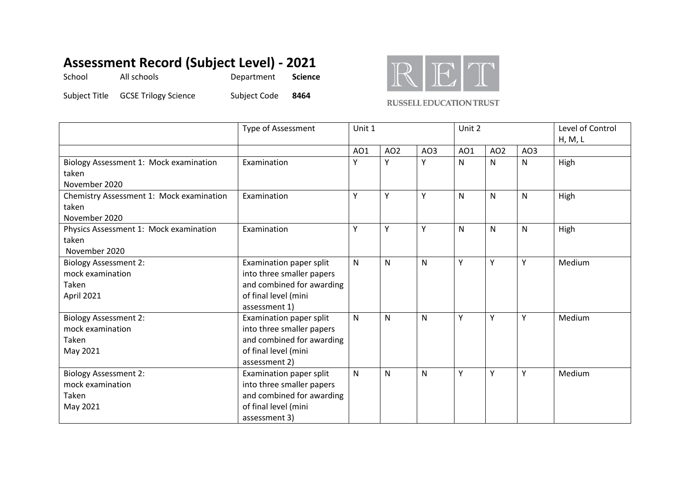| School | All schools                        | Department   | Science |
|--------|------------------------------------|--------------|---------|
|        | Subject Title GCSE Trilogy Science | Subject Code | 8464    |



|                                                                         | <b>Type of Assessment</b>                                                                                                  | Unit 1       |                 | Unit 2       |              | Level of Control<br>H, M, L |                 |        |
|-------------------------------------------------------------------------|----------------------------------------------------------------------------------------------------------------------------|--------------|-----------------|--------------|--------------|-----------------------------|-----------------|--------|
|                                                                         |                                                                                                                            | AO1          | AO <sub>2</sub> | AO3          | AO1          | AO <sub>2</sub>             | AO <sub>3</sub> |        |
| Biology Assessment 1: Mock examination<br>taken<br>November 2020        | Examination                                                                                                                | Y            | Y               | Y            | $\mathsf{N}$ | N                           | $\mathsf{N}$    | High   |
| Chemistry Assessment 1: Mock examination<br>taken<br>November 2020      | Examination                                                                                                                | Y            | Υ               | Y            | $\mathsf{N}$ | N                           | N               | High   |
| Physics Assessment 1: Mock examination<br>taken<br>November 2020        | Examination                                                                                                                | Y            | Y               | Y            | $\mathsf{N}$ | N                           | N               | High   |
| <b>Biology Assessment 2:</b><br>mock examination<br>Taken<br>April 2021 | Examination paper split<br>into three smaller papers<br>and combined for awarding<br>of final level (mini<br>assessment 1) | $\mathsf{N}$ | N               | $\mathsf{N}$ | $\mathsf{Y}$ | Y                           | Υ               | Medium |
| <b>Biology Assessment 2:</b><br>mock examination<br>Taken<br>May 2021   | Examination paper split<br>into three smaller papers<br>and combined for awarding<br>of final level (mini<br>assessment 2) | $\mathsf{N}$ | N               | $\mathsf{N}$ | Y            | Y                           | Y               | Medium |
| <b>Biology Assessment 2:</b><br>mock examination<br>Taken<br>May 2021   | Examination paper split<br>into three smaller papers<br>and combined for awarding<br>of final level (mini<br>assessment 3) | N            | N               | $\mathsf{N}$ | Y            | Υ                           | Υ               | Medium |